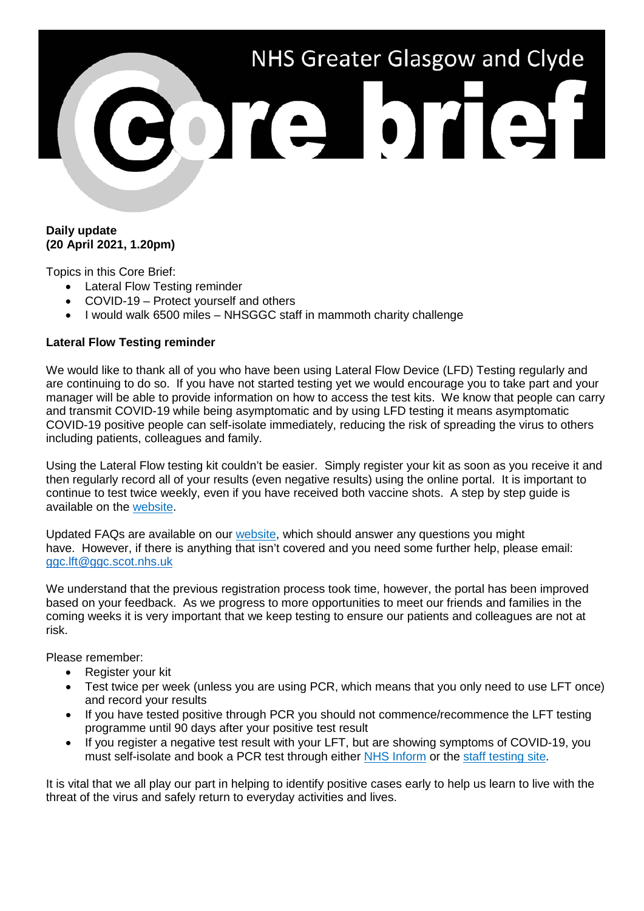# NHS Greater Glasgow and Clyde ore brief

### **Daily update (20 April 2021, 1.20pm)**

Topics in this Core Brief:

- Lateral Flow Testing reminder
- COVID-19 Protect yourself and others
- I would walk 6500 miles NHSGGC staff in mammoth charity challenge

# **Lateral Flow Testing reminder**

We would like to thank all of you who have been using Lateral Flow Device (LFD) Testing regularly and are continuing to do so. If you have not started testing yet we would encourage you to take part and your manager will be able to provide information on how to access the test kits. We know that people can carry and transmit COVID-19 while being asymptomatic and by using LFD testing it means asymptomatic COVID-19 positive people can self-isolate immediately, reducing the risk of spreading the virus to others including patients, colleagues and family.

Using the Lateral Flow testing kit couldn't be easier. Simply register your kit as soon as you receive it and then regularly record all of your results (even negative results) using the online portal. It is important to continue to test twice weekly, even if you have received both vaccine shots. A step by step guide is available on the [website.](https://www.nhsggc.org.uk/your-health/health-issues/covid-19-coronavirus/for-nhsggc-staff/lateral-flow-device-testing-guidance/)

Updated FAQs are available on our [website,](https://www.nhsggc.org.uk/your-health/health-issues/covid-19-coronavirus/for-nhsggc-staff/lateral-flow-device-testing-guidance/faqs/) which should answer any questions you might have. However, if there is anything that isn't covered and you need some further help, please email: [ggc.lft@ggc.scot.nhs.uk](mailto:ggc.lft@ggc.scot.nhs.uk)

We understand that the previous registration process took time, however, the portal has been improved based on your feedback. As we progress to more opportunities to meet our friends and families in the coming weeks it is very important that we keep testing to ensure our patients and colleagues are not at risk.

Please remember:

- Register your kit
- Test twice per week (unless you are using PCR, which means that you only need to use LFT once) and record your results
- If you have tested positive through PCR you should not commence/recommence the LFT testing programme until 90 days after your positive test result
- If you register a negative test result with your LFT, but are showing symptoms of COVID-19, you must self-isolate and book a PCR test through either [NHS Inform](https://www.nhsinform.scot/illnesses-and-conditions/infections-and-poisoning/coronavirus-covid-19/test-and-protect/coronavirus-covid-19-testing) or the [staff testing site.](https://www.nhsggc.org.uk/your-health/health-issues/covid-19-coronavirus/for-nhsggc-staff/testing-for-staff-and-their-household-contacts/)

It is vital that we all play our part in helping to identify positive cases early to help us learn to live with the threat of the virus and safely return to everyday activities and lives.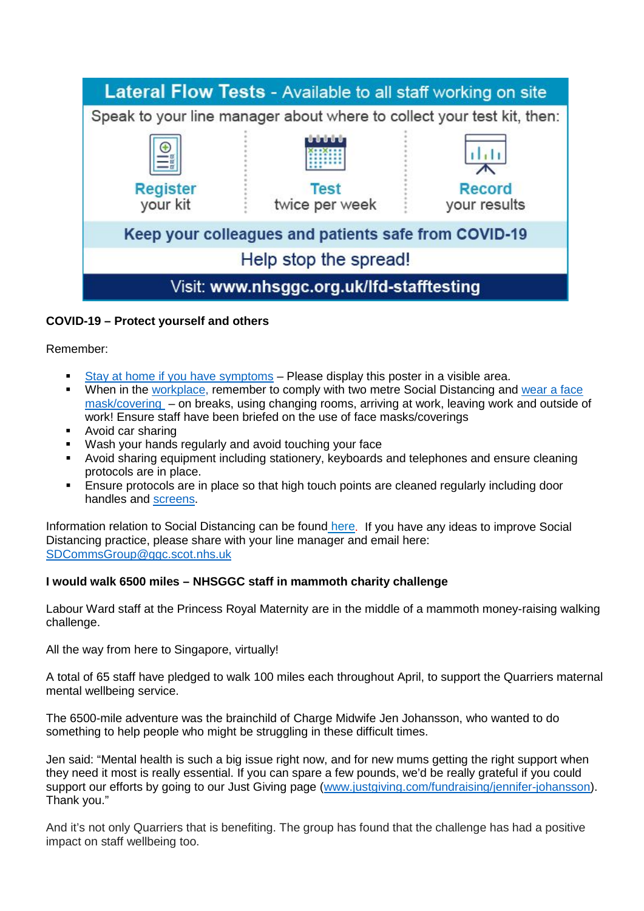

# **COVID-19 – Protect yourself and others**

Remember:

- [Stay at home if you have symptoms](https://www.nhsggc.org.uk/media/263552/covid19_stop_the_spread_good_practice_poster.pdf) Please display this poster in a visible area.
- When in the [workplace,](https://hpspubsrepo.blob.core.windows.net/hps-website/nss/3071/documents/1_covid-19-key-messages-in-the-workplace-a4.pdf) remember to comply with two metre Social Distancing and [wear a face](https://www.nhsggc.org.uk/media/264667/covid19_staff_face_masks_coverings.pdf)  [mask/covering](https://www.nhsggc.org.uk/media/264667/covid19_staff_face_masks_coverings.pdf) – on breaks, using changing rooms, arriving at work, leaving work and outside of work! Ensure staff have been briefed on the use of face masks/coverings
- Avoid car sharing
- Wash your hands regularly and avoid touching your face
- Avoid sharing equipment including stationery, keyboards and telephones and ensure cleaning protocols are in place.
- **Ensure protocols are in place so that high touch points are cleaned regularly including door** handles and [screens.](http://www.staffnet.ggc.scot.nhs.uk/Corporate%20Services/Communications/Briefs/Pages/comms_CoreBrief-24December2020(110pm)_LS241220.aspx)

Information relation to Social Distancing can be found [here.](https://www.nhsggc.org.uk/your-health/health-issues/covid-19-coronavirus/for-nhsggc-staff/social-distancing-in-the-workplace/) If you have any ideas to improve Social Distancing practice, please share with your line manager and email here: [SDCommsGroup@ggc.scot.nhs.uk](mailto:SDCommsGroup@ggc.scot.nhs.uk)

### **I would walk 6500 miles – NHSGGC staff in mammoth charity challenge**

Labour Ward staff at the Princess Royal Maternity are in the middle of a mammoth money-raising walking challenge.

All the way from here to Singapore, virtually!

A total of 65 staff have pledged to walk 100 miles each throughout April, to support the Quarriers maternal mental wellbeing service.

The 6500-mile adventure was the brainchild of Charge Midwife Jen Johansson, who wanted to do something to help people who might be struggling in these difficult times.

Jen said: "Mental health is such a big issue right now, and for new mums getting the right support when they need it most is really essential. If you can spare a few pounds, we'd be really grateful if you could support our efforts by going to our Just Giving page [\(www.justgiving.com/fundraising/jennifer-johansson\)](http://www.justgiving.com/fundraising/jennifer-johansson). Thank you."

And it's not only Quarriers that is benefiting. The group has found that the challenge has had a positive impact on staff wellbeing too.